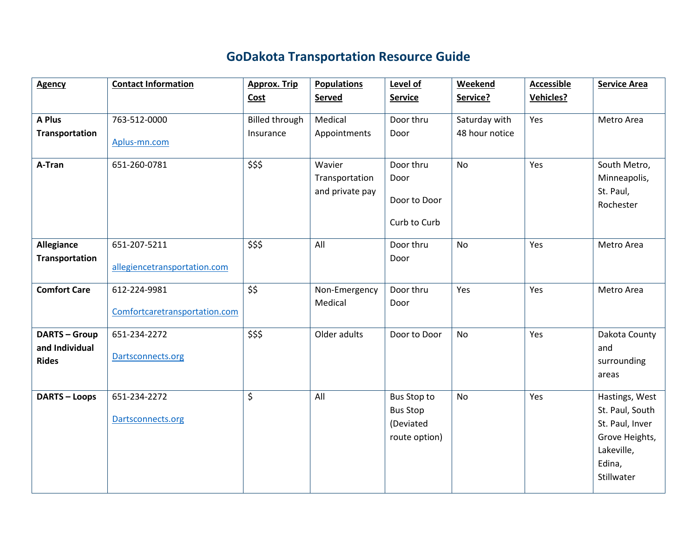## **GoDakota Transportation Resource Guide**

| <b>Agency</b>                                        | <b>Contact Information</b>                    | <b>Approx. Trip</b>   | <b>Populations</b>                          | Level of                                                     | Weekend        | <b>Accessible</b> | <b>Service Area</b>                                                                                          |
|------------------------------------------------------|-----------------------------------------------|-----------------------|---------------------------------------------|--------------------------------------------------------------|----------------|-------------------|--------------------------------------------------------------------------------------------------------------|
|                                                      |                                               | Cost                  | Served                                      | <b>Service</b>                                               | Service?       | <b>Vehicles?</b>  |                                                                                                              |
| A Plus                                               | 763-512-0000                                  | <b>Billed through</b> | Medical                                     | Door thru                                                    | Saturday with  | Yes               | Metro Area                                                                                                   |
| <b>Transportation</b>                                | Aplus-mn.com                                  | Insurance             | Appointments                                | Door                                                         | 48 hour notice |                   |                                                                                                              |
| A-Tran                                               | 651-260-0781                                  | \$\$\$                | Wavier<br>Transportation<br>and private pay | Door thru<br>Door<br>Door to Door<br>Curb to Curb            | No             | Yes               | South Metro,<br>Minneapolis,<br>St. Paul,<br>Rochester                                                       |
| Allegiance<br><b>Transportation</b>                  | 651-207-5211<br>allegiencetransportation.com  | \$\$\$                | All                                         | Door thru<br>Door                                            | No             | Yes               | Metro Area                                                                                                   |
| <b>Comfort Care</b>                                  | 612-224-9981<br>Comfortcaretransportation.com | \$\$                  | Non-Emergency<br>Medical                    | Door thru<br>Door                                            | Yes            | Yes               | Metro Area                                                                                                   |
| <b>DARTS-Group</b><br>and Individual<br><b>Rides</b> | 651-234-2272<br>Dartsconnects.org             | \$\$\$                | Older adults                                | Door to Door                                                 | <b>No</b>      | Yes               | Dakota County<br>and<br>surrounding<br>areas                                                                 |
| <b>DARTS - Loops</b>                                 | 651-234-2272<br>Dartsconnects.org             | $\zeta$               | All                                         | Bus Stop to<br><b>Bus Stop</b><br>(Deviated<br>route option) | No             | Yes               | Hastings, West<br>St. Paul, South<br>St. Paul, Inver<br>Grove Heights,<br>Lakeville,<br>Edina,<br>Stillwater |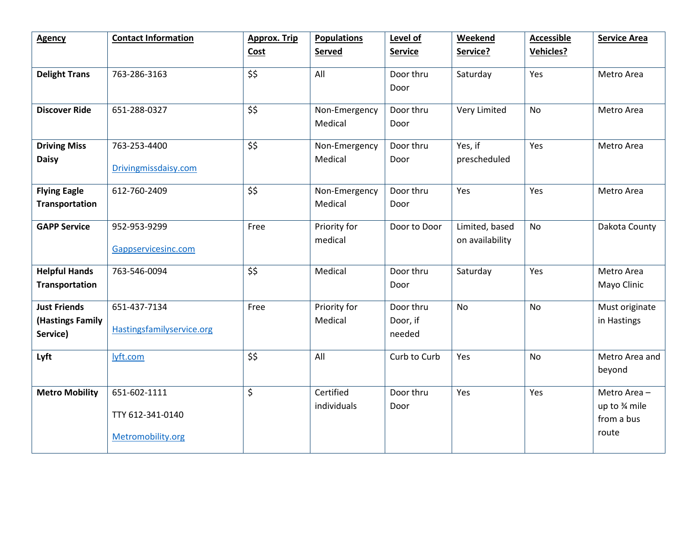| <b>Agency</b>                                       | <b>Contact Information</b>                            | <b>Approx. Trip</b> | <b>Populations</b>       | Level of                        | <b>Weekend</b>                    | <b>Accessible</b> | <b>Service Area</b>                                |
|-----------------------------------------------------|-------------------------------------------------------|---------------------|--------------------------|---------------------------------|-----------------------------------|-------------------|----------------------------------------------------|
|                                                     |                                                       | Cost                | Served                   | <b>Service</b>                  | Service?                          | <b>Vehicles?</b>  |                                                    |
| <b>Delight Trans</b>                                | 763-286-3163                                          | \$\$                | All                      | Door thru<br>Door               | Saturday                          | Yes               | Metro Area                                         |
| <b>Discover Ride</b>                                | 651-288-0327                                          | \$\$                | Non-Emergency<br>Medical | Door thru<br>Door               | Very Limited                      | <b>No</b>         | Metro Area                                         |
| <b>Driving Miss</b><br><b>Daisy</b>                 | 763-253-4400<br>Drivingmissdaisy.com                  | \$\$                | Non-Emergency<br>Medical | Door thru<br>Door               | Yes, if<br>prescheduled           | Yes               | Metro Area                                         |
| <b>Flying Eagle</b><br><b>Transportation</b>        | 612-760-2409                                          | \$\$                | Non-Emergency<br>Medical | Door thru<br>Door               | Yes                               | Yes               | Metro Area                                         |
| <b>GAPP Service</b>                                 | 952-953-9299<br>Gappservicesinc.com                   | Free                | Priority for<br>medical  | Door to Door                    | Limited, based<br>on availability | <b>No</b>         | Dakota County                                      |
| <b>Helpful Hands</b><br><b>Transportation</b>       | 763-546-0094                                          | \$\$                | Medical                  | Door thru<br>Door               | Saturday                          | Yes               | Metro Area<br>Mayo Clinic                          |
| <b>Just Friends</b><br>(Hastings Family<br>Service) | 651-437-7134<br>Hastingsfamilyservice.org             | Free                | Priority for<br>Medical  | Door thru<br>Door, if<br>needed | <b>No</b>                         | <b>No</b>         | Must originate<br>in Hastings                      |
| Lyft                                                | lyft.com                                              | \$\$                | All                      | Curb to Curb                    | Yes                               | No                | Metro Area and<br>beyond                           |
| <b>Metro Mobility</b>                               | 651-602-1111<br>TTY 612-341-0140<br>Metromobility.org | \$                  | Certified<br>individuals | Door thru<br>Door               | Yes                               | Yes               | Metro Area-<br>up to % mile<br>from a bus<br>route |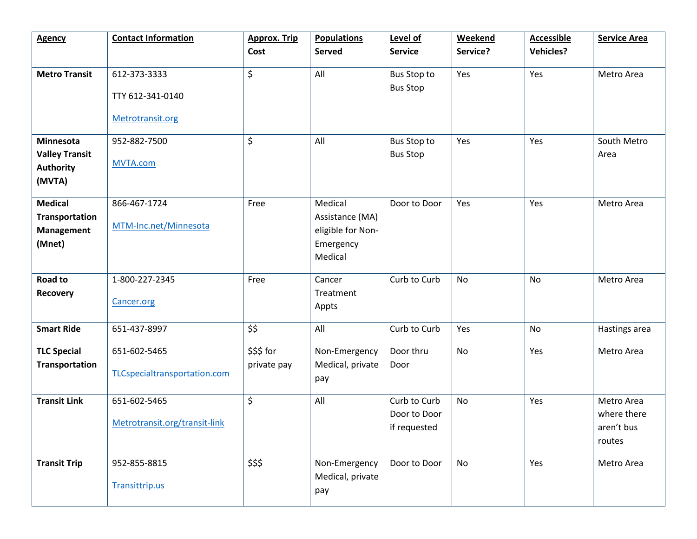| <b>Agency</b>                                                          | <b>Contact Information</b>                           | <b>Approx. Trip</b>       | <b>Populations</b>                                                      | Level of                                     | Weekend   | <b>Accessible</b> | <b>Service Area</b>                               |
|------------------------------------------------------------------------|------------------------------------------------------|---------------------------|-------------------------------------------------------------------------|----------------------------------------------|-----------|-------------------|---------------------------------------------------|
|                                                                        |                                                      | Cost                      | <b>Served</b>                                                           | <b>Service</b>                               | Service?  | Vehicles?         |                                                   |
| <b>Metro Transit</b>                                                   | 612-373-3333<br>TTY 612-341-0140<br>Metrotransit.org | \$                        | All                                                                     | Bus Stop to<br><b>Bus Stop</b>               | Yes       | Yes               | Metro Area                                        |
|                                                                        |                                                      |                           |                                                                         |                                              |           |                   |                                                   |
| <b>Minnesota</b>                                                       | 952-882-7500                                         | \$                        | All                                                                     | Bus Stop to                                  | Yes       | Yes               | South Metro                                       |
| <b>Valley Transit</b><br><b>Authority</b><br>(MVTA)                    | <b>MVTA.com</b>                                      |                           |                                                                         | <b>Bus Stop</b>                              |           |                   | Area                                              |
| <b>Medical</b><br><b>Transportation</b><br><b>Management</b><br>(Mnet) | 866-467-1724<br>MTM-Inc.net/Minnesota                | Free                      | Medical<br>Assistance (MA)<br>eligible for Non-<br>Emergency<br>Medical | Door to Door                                 | Yes       | Yes               | Metro Area                                        |
| Road to<br><b>Recovery</b>                                             | 1-800-227-2345<br>Cancer.org                         | Free                      | Cancer<br>Treatment<br>Appts                                            | Curb to Curb                                 | No        | No                | Metro Area                                        |
| <b>Smart Ride</b>                                                      | 651-437-8997                                         | \$\$                      | All                                                                     | Curb to Curb                                 | Yes       | No                | Hastings area                                     |
| <b>TLC Special</b><br><b>Transportation</b>                            | 651-602-5465<br>TLCspecialtransportation.com         | \$\$\$ for<br>private pay | Non-Emergency<br>Medical, private<br>pay                                | Door thru<br>Door                            | <b>No</b> | Yes               | Metro Area                                        |
| <b>Transit Link</b>                                                    | 651-602-5465<br>Metrotransit.org/transit-link        | \$                        | All                                                                     | Curb to Curb<br>Door to Door<br>if requested | No        | Yes               | Metro Area<br>where there<br>aren't bus<br>routes |
| <b>Transit Trip</b>                                                    | 952-855-8815<br>Transittrip.us                       | \$\$\$                    | Non-Emergency<br>Medical, private<br>pay                                | Door to Door                                 | No        | Yes               | Metro Area                                        |